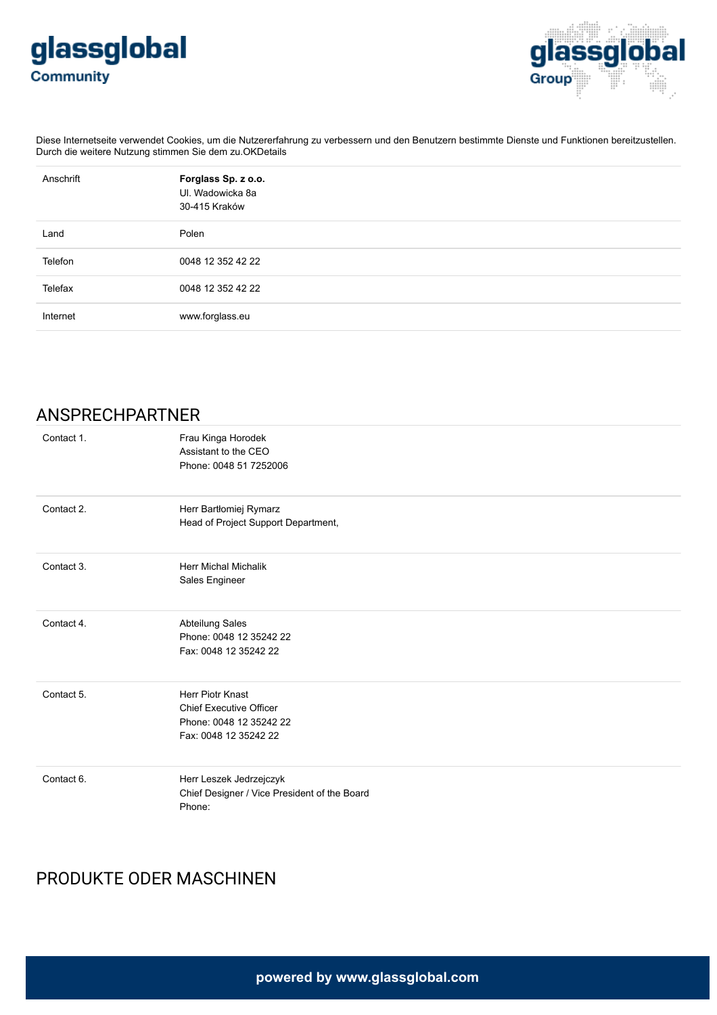



Diese Internetseite verwendet Cookies, um die Nutzererfahrung zu verbessern und den Benutzern bestimmte Dienste und Funktionen bereitzustellen. Durch die weitere Nutzung stimmen Sie dem zu.OKDetails

| Anschrift | Forglass Sp. z o.o.<br>UI. Wadowicka 8a<br>30-415 Kraków |
|-----------|----------------------------------------------------------|
| Land      | Polen                                                    |
| Telefon   | 0048 12 352 42 22                                        |
| Telefax   | 0048 12 352 42 22                                        |
| Internet  | www.forglass.eu                                          |

## ANSPRECHPARTNER

| Contact 1. | Frau Kinga Horodek<br>Assistant to the CEO<br>Phone: 0048 51 7252006                                   |
|------------|--------------------------------------------------------------------------------------------------------|
| Contact 2. | Herr Bartłomiej Rymarz<br>Head of Project Support Department,                                          |
| Contact 3. | <b>Herr Michal Michalik</b><br>Sales Engineer                                                          |
| Contact 4. | Abteilung Sales<br>Phone: 0048 12 35242 22<br>Fax: 0048 12 35242 22                                    |
| Contact 5. | Herr Piotr Knast<br><b>Chief Executive Officer</b><br>Phone: 0048 12 35242 22<br>Fax: 0048 12 35242 22 |
| Contact 6. | Herr Leszek Jedrzejczyk<br>Chief Designer / Vice President of the Board<br>Phone:                      |

## PRODUKTE ODER MASCHINEN